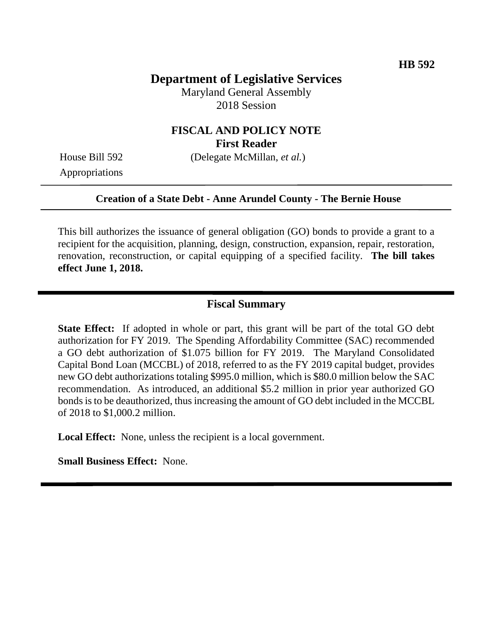## **Department of Legislative Services**

Maryland General Assembly 2018 Session

### **FISCAL AND POLICY NOTE First Reader**

House Bill 592 (Delegate McMillan, *et al.*)

Appropriations

#### **Creation of a State Debt - Anne Arundel County - The Bernie House**

This bill authorizes the issuance of general obligation (GO) bonds to provide a grant to a recipient for the acquisition, planning, design, construction, expansion, repair, restoration, renovation, reconstruction, or capital equipping of a specified facility. **The bill takes effect June 1, 2018.**

## **Fiscal Summary**

**State Effect:** If adopted in whole or part, this grant will be part of the total GO debt authorization for FY 2019. The Spending Affordability Committee (SAC) recommended a GO debt authorization of \$1.075 billion for FY 2019. The Maryland Consolidated Capital Bond Loan (MCCBL) of 2018, referred to as the FY 2019 capital budget, provides new GO debt authorizations totaling \$995.0 million, which is \$80.0 million below the SAC recommendation. As introduced, an additional \$5.2 million in prior year authorized GO bonds is to be deauthorized, thus increasing the amount of GO debt included in the MCCBL of 2018 to \$1,000.2 million.

**Local Effect:** None, unless the recipient is a local government.

**Small Business Effect:** None.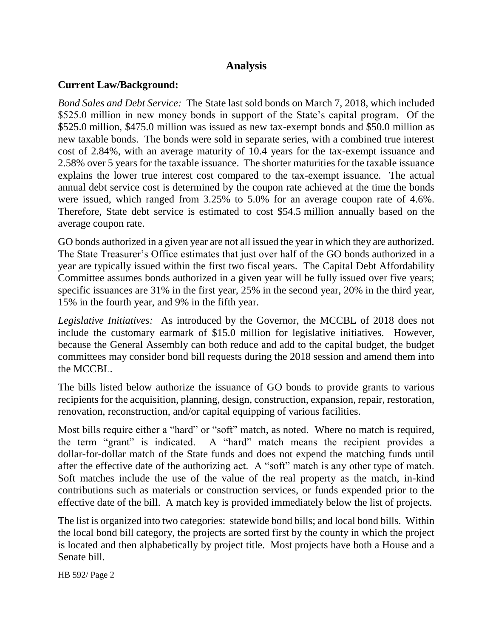## **Analysis**

### **Current Law/Background:**

*Bond Sales and Debt Service:* The State last sold bonds on March 7, 2018, which included \$525.0 million in new money bonds in support of the State's capital program. Of the \$525.0 million, \$475.0 million was issued as new tax-exempt bonds and \$50.0 million as new taxable bonds. The bonds were sold in separate series, with a combined true interest cost of 2.84%, with an average maturity of 10.4 years for the tax-exempt issuance and 2.58% over 5 years for the taxable issuance. The shorter maturities for the taxable issuance explains the lower true interest cost compared to the tax-exempt issuance. The actual annual debt service cost is determined by the coupon rate achieved at the time the bonds were issued, which ranged from 3.25% to 5.0% for an average coupon rate of 4.6%. Therefore, State debt service is estimated to cost \$54.5 million annually based on the average coupon rate.

GO bonds authorized in a given year are not all issued the year in which they are authorized. The State Treasurer's Office estimates that just over half of the GO bonds authorized in a year are typically issued within the first two fiscal years. The Capital Debt Affordability Committee assumes bonds authorized in a given year will be fully issued over five years; specific issuances are 31% in the first year, 25% in the second year, 20% in the third year, 15% in the fourth year, and 9% in the fifth year.

*Legislative Initiatives:* As introduced by the Governor, the MCCBL of 2018 does not include the customary earmark of \$15.0 million for legislative initiatives. However, because the General Assembly can both reduce and add to the capital budget, the budget committees may consider bond bill requests during the 2018 session and amend them into the MCCBL.

The bills listed below authorize the issuance of GO bonds to provide grants to various recipients for the acquisition, planning, design, construction, expansion, repair, restoration, renovation, reconstruction, and/or capital equipping of various facilities.

Most bills require either a "hard" or "soft" match, as noted. Where no match is required, the term "grant" is indicated. A "hard" match means the recipient provides a dollar-for-dollar match of the State funds and does not expend the matching funds until after the effective date of the authorizing act. A "soft" match is any other type of match. Soft matches include the use of the value of the real property as the match, in-kind contributions such as materials or construction services, or funds expended prior to the effective date of the bill. A match key is provided immediately below the list of projects.

The list is organized into two categories: statewide bond bills; and local bond bills. Within the local bond bill category, the projects are sorted first by the county in which the project is located and then alphabetically by project title. Most projects have both a House and a Senate bill.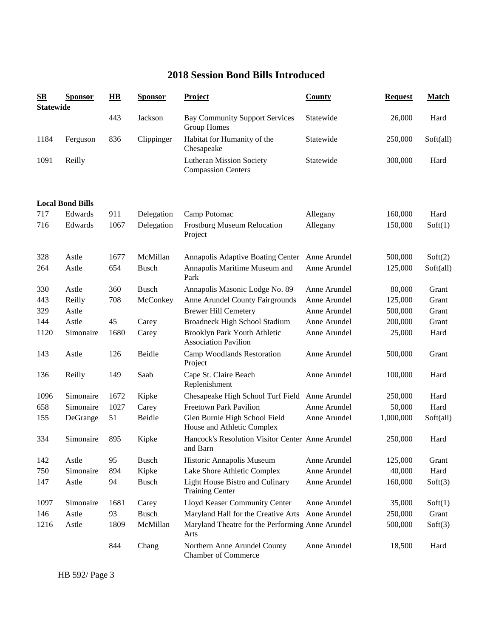# **2018 Session Bond Bills Introduced**

| SВ<br><b>Statewide</b> | <b>Sponsor</b>          | $\mathbf{H}\mathbf{B}$ | <b>Sponsor</b> | <b>Project</b>                                               | <b>County</b> | <b>Request</b> | <b>Match</b> |
|------------------------|-------------------------|------------------------|----------------|--------------------------------------------------------------|---------------|----------------|--------------|
|                        |                         | 443                    | Jackson        | <b>Bay Community Support Services</b><br>Group Homes         | Statewide     | 26,000         | Hard         |
| 1184                   | Ferguson                | 836                    | Clippinger     | Habitat for Humanity of the<br>Chesapeake                    | Statewide     | 250,000        | Soft(all)    |
| 1091                   | Reilly                  |                        |                | <b>Lutheran Mission Society</b><br><b>Compassion Centers</b> | Statewide     | 300,000        | Hard         |
|                        | <b>Local Bond Bills</b> |                        |                |                                                              |               |                |              |
| 717                    | Edwards                 | 911                    | Delegation     | Camp Potomac                                                 | Allegany      | 160,000        | Hard         |
| 716                    | Edwards                 | 1067                   | Delegation     | Frostburg Museum Relocation<br>Project                       | Allegany      | 150,000        | Soft(1)      |
| 328                    | Astle                   | 1677                   | McMillan       | Annapolis Adaptive Boating Center                            | Anne Arundel  | 500,000        | Soft(2)      |
| 264                    | Astle                   | 654                    | <b>Busch</b>   | Annapolis Maritime Museum and<br>Park                        | Anne Arundel  | 125,000        | Soft(all)    |
| 330                    | Astle                   | 360                    | <b>Busch</b>   | Annapolis Masonic Lodge No. 89                               | Anne Arundel  | 80,000         | Grant        |
| 443                    | Reilly                  | 708                    | McConkey       | Anne Arundel County Fairgrounds                              | Anne Arundel  | 125,000        | Grant        |
| 329                    | Astle                   |                        |                | <b>Brewer Hill Cemetery</b>                                  | Anne Arundel  | 500,000        | Grant        |
| 144                    | Astle                   | 45                     | Carey          | Broadneck High School Stadium                                | Anne Arundel  | 200,000        | Grant        |
| 1120                   | Simonaire               | 1680                   | Carey          | Brooklyn Park Youth Athletic<br><b>Association Pavilion</b>  | Anne Arundel  | 25,000         | Hard         |
| 143                    | Astle                   | 126                    | Beidle         | Camp Woodlands Restoration<br>Project                        | Anne Arundel  | 500,000        | Grant        |
| 136                    | Reilly                  | 149                    | Saab           | Cape St. Claire Beach<br>Replenishment                       | Anne Arundel  | 100,000        | Hard         |
| 1096                   | Simonaire               | 1672                   | Kipke          | Chesapeake High School Turf Field                            | Anne Arundel  | 250,000        | Hard         |
| 658                    | Simonaire               | 1027                   | Carey          | <b>Freetown Park Pavilion</b>                                | Anne Arundel  | 50,000         | Hard         |
| 155                    | DeGrange                | 51                     | Beidle         | Glen Burnie High School Field<br>House and Athletic Complex  | Anne Arundel  | 1,000,000      | Soft(all)    |
| 334                    | Simonaire               | 895                    | Kipke          | Hancock's Resolution Visitor Center Anne Arundel<br>and Barn |               | 250,000        | Hard         |
| 142                    | Astle                   | 95                     | <b>Busch</b>   | Historic Annapolis Museum                                    | Anne Arundel  | 125,000        | Grant        |
| 750                    | Simonaire               | 894                    | Kipke          | Lake Shore Athletic Complex                                  | Anne Arundel  | 40,000         | Hard         |
| 147                    | Astle                   | 94                     | <b>Busch</b>   | Light House Bistro and Culinary<br><b>Training Center</b>    | Anne Arundel  | 160,000        | Soft(3)      |
| 1097                   | Simonaire               | 1681                   | Carey          | Lloyd Keaser Community Center                                | Anne Arundel  | 35,000         | Soft(1)      |
| 146                    | Astle                   | 93                     | <b>Busch</b>   | Maryland Hall for the Creative Arts                          | Anne Arundel  | 250,000        | Grant        |
| 1216                   | Astle                   | 1809                   | McMillan       | Maryland Theatre for the Performing Anne Arundel<br>Arts     |               | 500,000        | Soft(3)      |
|                        |                         | 844                    | Chang          | Northern Anne Arundel County<br><b>Chamber of Commerce</b>   | Anne Arundel  | 18,500         | Hard         |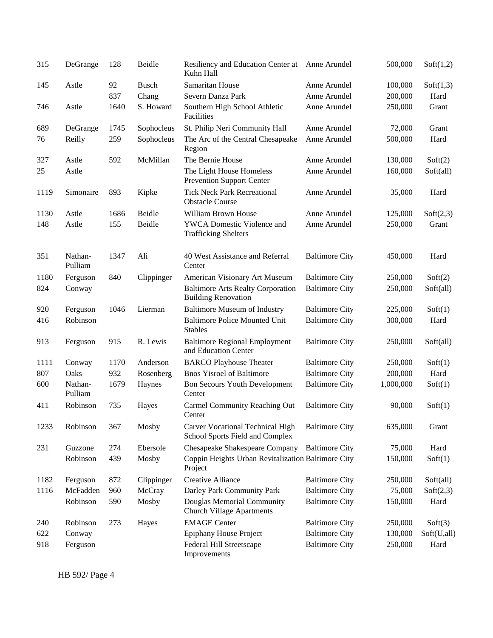| 315  | DeGrange           | 128  | Beidle       | Resiliency and Education Center at<br>Kuhn Hall                        | Anne Arundel          | 500,000   | Soft(1,2)   |
|------|--------------------|------|--------------|------------------------------------------------------------------------|-----------------------|-----------|-------------|
| 145  | Astle              | 92   | <b>Busch</b> | Samaritan House                                                        | Anne Arundel          | 100,000   | Soft(1,3)   |
|      |                    | 837  | Chang        | Severn Danza Park                                                      | Anne Arundel          | 200,000   | Hard        |
| 746  | Astle              | 1640 | S. Howard    | Southern High School Athletic<br>Facilities                            | Anne Arundel          | 250,000   | Grant       |
| 689  | DeGrange           | 1745 | Sophocleus   | St. Philip Neri Community Hall                                         | Anne Arundel          | 72,000    | Grant       |
| 76   | Reilly             | 259  | Sophocleus   | The Arc of the Central Chesapeake<br>Region                            | Anne Arundel          | 500,000   | Hard        |
| 327  | Astle              | 592  | McMillan     | The Bernie House                                                       | Anne Arundel          | 130,000   | Soft(2)     |
| 25   | Astle              |      |              | The Light House Homeless<br><b>Prevention Support Center</b>           | Anne Arundel          | 160,000   | Soft(all)   |
| 1119 | Simonaire          | 893  | Kipke        | <b>Tick Neck Park Recreational</b><br><b>Obstacle Course</b>           | Anne Arundel          | 35,000    | Hard        |
| 1130 | Astle              | 1686 | Beidle       | William Brown House                                                    | Anne Arundel          | 125,000   | Soft(2,3)   |
| 148  | Astle              | 155  | Beidle       | YWCA Domestic Violence and<br><b>Trafficking Shelters</b>              | Anne Arundel          | 250,000   | Grant       |
| 351  | Nathan-<br>Pulliam | 1347 | Ali          | 40 West Assistance and Referral<br>Center                              | <b>Baltimore City</b> | 450,000   | Hard        |
| 1180 | Ferguson           | 840  | Clippinger   | American Visionary Art Museum                                          | <b>Baltimore City</b> | 250,000   | Soft(2)     |
| 824  | Conway             |      |              | <b>Baltimore Arts Realty Corporation</b><br><b>Building Renovation</b> | <b>Baltimore City</b> | 250,000   | Soft(all)   |
| 920  | Ferguson           | 1046 | Lierman      | <b>Baltimore Museum of Industry</b>                                    | <b>Baltimore City</b> | 225,000   | Soft(1)     |
| 416  | Robinson           |      |              | <b>Baltimore Police Mounted Unit</b><br><b>Stables</b>                 | <b>Baltimore City</b> | 300,000   | Hard        |
| 913  | Ferguson           | 915  | R. Lewis     | <b>Baltimore Regional Employment</b><br>and Education Center           | <b>Baltimore City</b> | 250,000   | Soft(all)   |
| 1111 | Conway             | 1170 | Anderson     | <b>BARCO Playhouse Theater</b>                                         | <b>Baltimore City</b> | 250,000   | Soft(1)     |
| 807  | Oaks               | 932  | Rosenberg    | <b>Bnos Yisroel of Baltimore</b>                                       | <b>Baltimore City</b> | 200,000   | Hard        |
| 600  | Nathan-<br>Pulliam | 1679 | Haynes       | <b>Bon Secours Youth Development</b><br>Center                         | <b>Baltimore City</b> | 1,000,000 | Soft(1)     |
| 411  | Robinson           | 735  | Hayes        | <b>Carmel Community Reaching Out</b><br>Center                         | <b>Baltimore City</b> | 90,000    | Soft(1)     |
| 1233 | Robinson           | 367  | Mosby        | Carver Vocational Technical High<br>School Sports Field and Complex    | <b>Baltimore City</b> | 635,000   | Grant       |
| 231  | Guzzone            | 274  | Ebersole     | Chesapeake Shakespeare Company                                         | <b>Baltimore City</b> | 75,000    | Hard        |
|      | Robinson           | 439  | Mosby        | Coppin Heights Urban Revitalization Baltimore City<br>Project          |                       | 150,000   | Soft(1)     |
| 1182 | Ferguson           | 872  | Clippinger   | Creative Alliance                                                      | <b>Baltimore City</b> | 250,000   | Soft(all)   |
| 1116 | McFadden           | 960  | McCray       | Darley Park Community Park                                             | <b>Baltimore City</b> | 75,000    | Soft(2,3)   |
|      | Robinson           | 590  | Mosby        | Douglas Memorial Community<br><b>Church Village Apartments</b>         | <b>Baltimore City</b> | 150,000   | Hard        |
| 240  | Robinson           | 273  | Hayes        | <b>EMAGE Center</b>                                                    | <b>Baltimore City</b> | 250,000   | Soft(3)     |
| 622  | Conway             |      |              | <b>Epiphany House Project</b>                                          | <b>Baltimore City</b> | 130,000   | Soft(U,all) |
| 918  | Ferguson           |      |              | Federal Hill Streetscape<br>Improvements                               | <b>Baltimore City</b> | 250,000   | Hard        |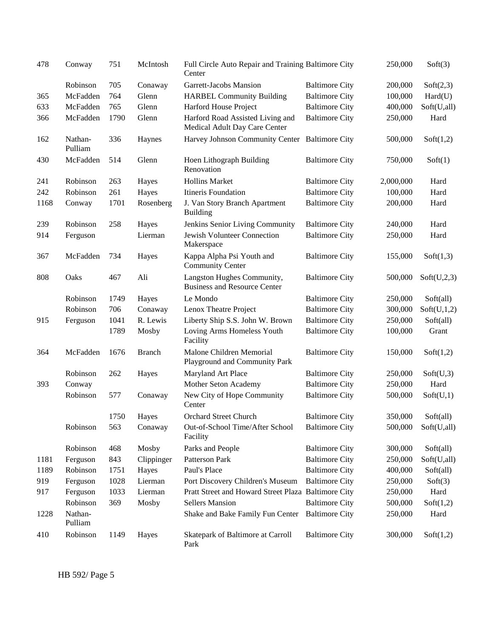| 478  | Conway             | 751  | McIntosh      | Full Circle Auto Repair and Training Baltimore City<br>Center     |                       | 250,000   | Soft(3)     |
|------|--------------------|------|---------------|-------------------------------------------------------------------|-----------------------|-----------|-------------|
|      | Robinson           | 705  | Conaway       | Garrett-Jacobs Mansion                                            | <b>Baltimore City</b> | 200,000   | Soft(2,3)   |
| 365  | McFadden           | 764  | Glenn         | <b>HARBEL Community Building</b>                                  | <b>Baltimore City</b> | 100,000   | Hard(U)     |
| 633  | McFadden           | 765  | Glenn         | Harford House Project                                             | <b>Baltimore City</b> | 400,000   | Soft(U,all) |
| 366  | McFadden           | 1790 | Glenn         | Harford Road Assisted Living and<br>Medical Adult Day Care Center | <b>Baltimore City</b> | 250,000   | Hard        |
| 162  | Nathan-<br>Pulliam | 336  | Haynes        | Harvey Johnson Community Center Baltimore City                    |                       | 500,000   | Soft(1,2)   |
| 430  | McFadden           | 514  | Glenn         | Hoen Lithograph Building<br>Renovation                            | <b>Baltimore City</b> | 750,000   | Soft(1)     |
| 241  | Robinson           | 263  | Hayes         | <b>Hollins Market</b>                                             | <b>Baltimore City</b> | 2,000,000 | Hard        |
| 242  | Robinson           | 261  | Hayes         | Itineris Foundation                                               | <b>Baltimore City</b> | 100,000   | Hard        |
| 1168 | Conway             | 1701 | Rosenberg     | J. Van Story Branch Apartment<br><b>Building</b>                  | <b>Baltimore City</b> | 200,000   | Hard        |
| 239  | Robinson           | 258  | Hayes         | Jenkins Senior Living Community                                   | <b>Baltimore City</b> | 240,000   | Hard        |
| 914  | Ferguson           |      | Lierman       | Jewish Volunteer Connection<br>Makerspace                         | <b>Baltimore City</b> | 250,000   | Hard        |
| 367  | McFadden           | 734  | Hayes         | Kappa Alpha Psi Youth and<br><b>Community Center</b>              | <b>Baltimore City</b> | 155,000   | Soft(1,3)   |
| 808  | Oaks               | 467  | Ali           | Langston Hughes Community,<br><b>Business and Resource Center</b> | <b>Baltimore City</b> | 500,000   | Soft(U,2,3) |
|      | Robinson           | 1749 | Hayes         | Le Mondo                                                          | <b>Baltimore City</b> | 250,000   | Soft(all)   |
|      | Robinson           | 706  | Conaway       | Lenox Theatre Project                                             | <b>Baltimore City</b> | 300,000   | Soft(U,1,2) |
| 915  | Ferguson           | 1041 | R. Lewis      | Liberty Ship S.S. John W. Brown                                   | <b>Baltimore City</b> | 250,000   | Soft(all)   |
|      |                    | 1789 | Mosby         | Loving Arms Homeless Youth<br>Facility                            | <b>Baltimore City</b> | 100,000   | Grant       |
| 364  | McFadden           | 1676 | <b>Branch</b> | Malone Children Memorial<br>Playground and Community Park         | <b>Baltimore City</b> | 150,000   | Soft(1,2)   |
|      | Robinson           | 262  | Hayes         | Maryland Art Place                                                | <b>Baltimore City</b> | 250,000   | Soft(U,3)   |
| 393  | Conway             |      |               | Mother Seton Academy                                              | <b>Baltimore City</b> | 250,000   | Hard        |
|      | Robinson           | 577  | Conaway       | New City of Hope Community<br>Center                              | <b>Baltimore City</b> | 500,000   | Soft(U,1)   |
|      |                    | 1750 | Hayes         | Orchard Street Church                                             | <b>Baltimore City</b> | 350,000   | Soft(all)   |
|      | Robinson           | 563  | Conaway       | Out-of-School Time/After School<br>Facility                       | <b>Baltimore City</b> | 500,000   | Soft(U,all) |
|      | Robinson           | 468  | Mosby         | Parks and People                                                  | <b>Baltimore City</b> | 300,000   | Soft(all)   |
| 1181 | Ferguson           | 843  | Clippinger    | Patterson Park                                                    | <b>Baltimore City</b> | 250,000   | Soft(U,all) |
| 1189 | Robinson           | 1751 | Hayes         | Paul's Place                                                      | <b>Baltimore City</b> | 400,000   | Soft(all)   |
| 919  | Ferguson           | 1028 | Lierman       | Port Discovery Children's Museum                                  | <b>Baltimore City</b> | 250,000   | Soft(3)     |
| 917  | Ferguson           | 1033 | Lierman       | Pratt Street and Howard Street Plaza Baltimore City               |                       | 250,000   | Hard        |
|      | Robinson           | 369  | Mosby         | <b>Sellers Mansion</b>                                            | <b>Baltimore City</b> | 500,000   | Soft(1,2)   |
| 1228 | Nathan-<br>Pulliam |      |               | Shake and Bake Family Fun Center                                  | <b>Baltimore City</b> | 250,000   | Hard        |
| 410  | Robinson           | 1149 | Hayes         | Skatepark of Baltimore at Carroll<br>Park                         | <b>Baltimore City</b> | 300,000   | Soft(1,2)   |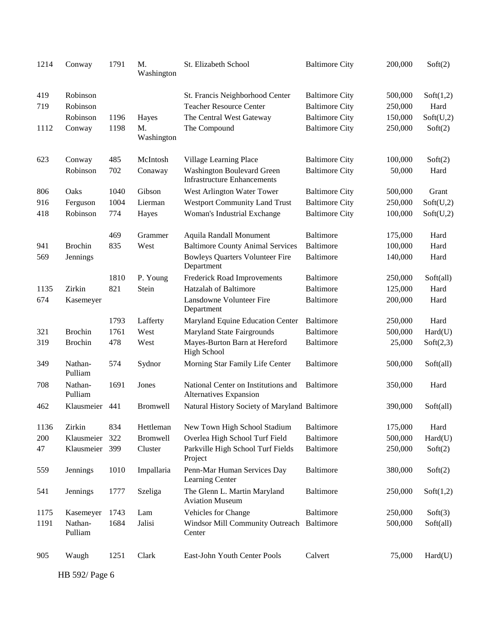| 1214 | Conway             | 1791 | M.<br>Washington | St. Elizabeth School                                                    | <b>Baltimore City</b> | 200,000 | Soft(2)   |
|------|--------------------|------|------------------|-------------------------------------------------------------------------|-----------------------|---------|-----------|
| 419  | Robinson           |      |                  | St. Francis Neighborhood Center                                         | <b>Baltimore City</b> | 500,000 | Soft(1,2) |
| 719  | Robinson           |      |                  | <b>Teacher Resource Center</b>                                          | <b>Baltimore City</b> | 250,000 | Hard      |
|      | Robinson           | 1196 | Hayes            | The Central West Gateway                                                | <b>Baltimore City</b> | 150,000 | Soft(U,2) |
| 1112 | Conway             | 1198 | M.<br>Washington | The Compound                                                            | <b>Baltimore City</b> | 250,000 | Soft(2)   |
| 623  | Conway             | 485  | McIntosh         | Village Learning Place                                                  | <b>Baltimore City</b> | 100,000 | Soft(2)   |
|      | Robinson           | 702  | Conaway          | <b>Washington Boulevard Green</b><br><b>Infrastructure Enhancements</b> | <b>Baltimore City</b> | 50,000  | Hard      |
| 806  | Oaks               | 1040 | Gibson           | West Arlington Water Tower                                              | <b>Baltimore City</b> | 500,000 | Grant     |
| 916  | Ferguson           | 1004 | Lierman          | <b>Westport Community Land Trust</b>                                    | <b>Baltimore City</b> | 250,000 | Soft(U,2) |
| 418  | Robinson           | 774  | Hayes            | Woman's Industrial Exchange                                             | <b>Baltimore City</b> | 100,000 | Soft(U,2) |
|      |                    | 469  | Grammer          | <b>Aquila Randall Monument</b>                                          | Baltimore             | 175,000 | Hard      |
| 941  | <b>Brochin</b>     | 835  | West             | <b>Baltimore County Animal Services</b>                                 | <b>Baltimore</b>      | 100,000 | Hard      |
| 569  | Jennings           |      |                  | <b>Bowleys Quarters Volunteer Fire</b><br>Department                    | <b>Baltimore</b>      | 140,000 | Hard      |
|      |                    | 1810 | P. Young         | Frederick Road Improvements                                             | <b>Baltimore</b>      | 250,000 | Soft(all) |
| 1135 | Zirkin             | 821  | Stein            | <b>Hatzalah of Baltimore</b>                                            | <b>Baltimore</b>      | 125,000 | Hard      |
| 674  | Kasemeyer          |      |                  | Lansdowne Volunteer Fire<br>Department                                  | Baltimore             | 200,000 | Hard      |
|      |                    | 1793 | Lafferty         | Maryland Equine Education Center                                        | Baltimore             | 250,000 | Hard      |
| 321  | <b>Brochin</b>     | 1761 | West             | <b>Maryland State Fairgrounds</b>                                       | <b>Baltimore</b>      | 500,000 | Hard(U)   |
| 319  | <b>Brochin</b>     | 478  | West             | Mayes-Burton Barn at Hereford<br><b>High School</b>                     | <b>Baltimore</b>      | 25,000  | Soft(2,3) |
| 349  | Nathan-<br>Pulliam | 574  | Sydnor           | Morning Star Family Life Center                                         | <b>Baltimore</b>      | 500,000 | Soft(all) |
| 708  | Nathan-<br>Pulliam | 1691 | Jones            | National Center on Institutions and<br>Alternatives Expansion           | Baltimore             | 350,000 | Hard      |
| 462  | Klausmeier         | 441  | <b>Bromwell</b>  | Natural History Society of Maryland Baltimore                           |                       | 390,000 | Soft(all) |
| 1136 | Zirkin             | 834  | Hettleman        | New Town High School Stadium                                            | <b>Baltimore</b>      | 175,000 | Hard      |
| 200  | Klausmeier         | 322  | Bromwell         | Overlea High School Turf Field                                          | <b>Baltimore</b>      | 500,000 | Hard(U)   |
| 47   | Klausmeier         | 399  | Cluster          | Parkville High School Turf Fields<br>Project                            | <b>Baltimore</b>      | 250,000 | Soft(2)   |
| 559  | Jennings           | 1010 | Impallaria       | Penn-Mar Human Services Day<br>Learning Center                          | <b>Baltimore</b>      | 380,000 | Soft(2)   |
| 541  | Jennings           | 1777 | Szeliga          | The Glenn L. Martin Maryland<br><b>Aviation Museum</b>                  | <b>Baltimore</b>      | 250,000 | Soft(1,2) |
| 1175 | Kasemeyer          | 1743 | Lam              | Vehicles for Change                                                     | Baltimore             | 250,000 | Soft(3)   |
| 1191 | Nathan-<br>Pulliam | 1684 | Jalisi           | Windsor Mill Community Outreach Baltimore<br>Center                     |                       | 500,000 | Soft(all) |
| 905  | Waugh              | 1251 | Clark            | East-John Youth Center Pools                                            | Calvert               | 75,000  | Hard(U)   |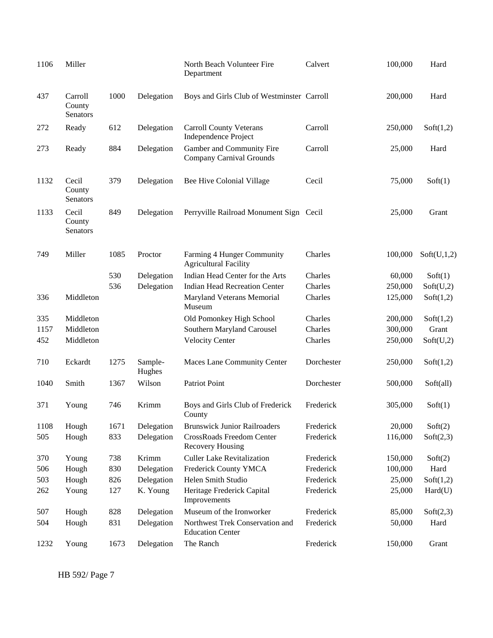| 1106 | Miller                             |      |                   | North Beach Volunteer Fire<br>Department                     | Calvert    | 100,000 | Hard        |
|------|------------------------------------|------|-------------------|--------------------------------------------------------------|------------|---------|-------------|
| 437  | Carroll<br>County<br>Senators      | 1000 | Delegation        | Boys and Girls Club of Westminster Carroll                   |            | 200,000 | Hard        |
| 272  | Ready                              | 612  | Delegation        | <b>Carroll County Veterans</b><br>Independence Project       | Carroll    | 250,000 | Soft(1,2)   |
| 273  | Ready                              | 884  | Delegation        | Gamber and Community Fire<br><b>Company Carnival Grounds</b> | Carroll    | 25,000  | Hard        |
| 1132 | Cecil<br>County<br><b>Senators</b> | 379  | Delegation        | Bee Hive Colonial Village                                    | Cecil      | 75,000  | Soft(1)     |
| 1133 | Cecil<br>County<br><b>Senators</b> | 849  | Delegation        | Perryville Railroad Monument Sign Cecil                      |            | 25,000  | Grant       |
| 749  | Miller                             | 1085 | Proctor           | Farming 4 Hunger Community<br><b>Agricultural Facility</b>   | Charles    | 100,000 | Soft(U,1,2) |
|      |                                    | 530  | Delegation        | Indian Head Center for the Arts                              | Charles    | 60,000  | Soft(1)     |
|      |                                    | 536  | Delegation        | <b>Indian Head Recreation Center</b>                         | Charles    | 250,000 | Soft(U,2)   |
| 336  | Middleton                          |      |                   | Maryland Veterans Memorial<br>Museum                         | Charles    | 125,000 | Soft(1,2)   |
| 335  | Middleton                          |      |                   | Old Pomonkey High School                                     | Charles    | 200,000 | Soft(1,2)   |
| 1157 | Middleton                          |      |                   | Southern Maryland Carousel                                   | Charles    | 300,000 | Grant       |
| 452  | Middleton                          |      |                   | <b>Velocity Center</b>                                       | Charles    | 250,000 | Soft(U,2)   |
| 710  | Eckardt                            | 1275 | Sample-<br>Hughes | Maces Lane Community Center                                  | Dorchester | 250,000 | Soft(1,2)   |
| 1040 | Smith                              | 1367 | Wilson            | Patriot Point                                                | Dorchester | 500,000 | Soft(all)   |
| 371  | Young                              | 746  | Krimm             | Boys and Girls Club of Frederick<br>County                   | Frederick  | 305,000 | Soft(1)     |
| 1108 | Hough                              | 1671 | Delegation        | <b>Brunswick Junior Railroaders</b>                          | Frederick  | 20,000  | Soft(2)     |
| 505  | Hough                              | 833  | Delegation        | CrossRoads Freedom Center<br><b>Recovery Housing</b>         | Frederick  | 116,000 | Soft(2,3)   |
| 370  | Young                              | 738  | Krimm             | <b>Culler Lake Revitalization</b>                            | Frederick  | 150,000 | Soft(2)     |
| 506  | Hough                              | 830  | Delegation        | Frederick County YMCA                                        | Frederick  | 100,000 | Hard        |
| 503  | Hough                              | 826  | Delegation        | Helen Smith Studio                                           | Frederick  | 25,000  | Soft(1,2)   |
| 262  | Young                              | 127  | K. Young          | Heritage Frederick Capital<br>Improvements                   | Frederick  | 25,000  | Hard(U)     |
| 507  | Hough                              | 828  | Delegation        | Museum of the Ironworker                                     | Frederick  | 85,000  | Soft(2,3)   |
| 504  | Hough                              | 831  | Delegation        | Northwest Trek Conservation and<br><b>Education Center</b>   | Frederick  | 50,000  | Hard        |
| 1232 | Young                              | 1673 | Delegation        | The Ranch                                                    | Frederick  | 150,000 | Grant       |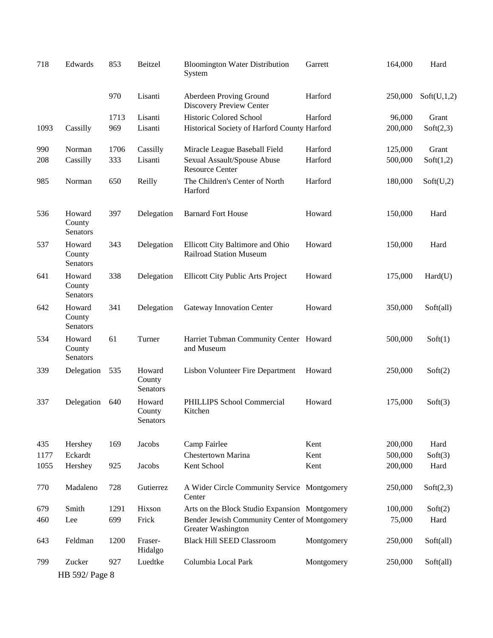| 718  | Edwards                      | 853  | Beitzel                             | <b>Bloomington Water Distribution</b><br>System                    | Garrett    | 164,000 | Hard        |
|------|------------------------------|------|-------------------------------------|--------------------------------------------------------------------|------------|---------|-------------|
|      |                              | 970  | Lisanti                             | Aberdeen Proving Ground<br>Discovery Preview Center                | Harford    | 250,000 | Soft(U,1,2) |
|      |                              | 1713 | Lisanti                             | <b>Historic Colored School</b>                                     | Harford    | 96,000  | Grant       |
| 1093 | Cassilly                     | 969  | Lisanti                             | Historical Society of Harford County Harford                       |            | 200,000 | Soft(2,3)   |
| 990  | Norman                       | 1706 | Cassilly                            | Miracle League Baseball Field                                      | Harford    | 125,000 | Grant       |
| 208  | Cassilly                     | 333  | Lisanti                             | Sexual Assault/Spouse Abuse<br><b>Resource Center</b>              | Harford    | 500,000 | Soft(1,2)   |
| 985  | Norman                       | 650  | Reilly                              | The Children's Center of North<br>Harford                          | Harford    | 180,000 | Soft(U,2)   |
| 536  | Howard<br>County<br>Senators | 397  | Delegation                          | <b>Barnard Fort House</b>                                          | Howard     | 150,000 | Hard        |
| 537  | Howard<br>County<br>Senators | 343  | Delegation                          | Ellicott City Baltimore and Ohio<br><b>Railroad Station Museum</b> | Howard     | 150,000 | Hard        |
| 641  | Howard<br>County<br>Senators | 338  | Delegation                          | <b>Ellicott City Public Arts Project</b>                           | Howard     | 175,000 | Hard(U)     |
| 642  | Howard<br>County<br>Senators | 341  | Delegation                          | Gateway Innovation Center                                          | Howard     | 350,000 | Soft(all)   |
| 534  | Howard<br>County<br>Senators | 61   | Turner                              | Harriet Tubman Community Center Howard<br>and Museum               |            | 500,000 | Soft(1)     |
| 339  | Delegation                   | 535  | Howard<br>County<br><b>Senators</b> | Lisbon Volunteer Fire Department                                   | Howard     | 250,000 | Soft(2)     |
| 337  | Delegation                   | 640  | Howard<br>County<br>Senators        | PHILLIPS School Commercial<br>Kitchen                              | Howard     | 175,000 | Soft(3)     |
| 435  | Hershey                      | 169  | Jacobs                              | Camp Fairlee                                                       | Kent       | 200,000 | Hard        |
| 1177 | Eckardt                      |      |                                     | Chestertown Marina                                                 | Kent       | 500,000 | Soft(3)     |
| 1055 | Hershey                      | 925  | Jacobs                              | Kent School                                                        | Kent       | 200,000 | Hard        |
| 770  | Madaleno                     | 728  | Gutierrez                           | A Wider Circle Community Service Montgomery<br>Center              |            | 250,000 | Soft(2,3)   |
| 679  | Smith                        | 1291 | Hixson                              | Arts on the Block Studio Expansion Montgomery                      |            | 100,000 | Soft(2)     |
| 460  | Lee                          | 699  | Frick                               | Bender Jewish Community Center of Montgomery<br>Greater Washington |            | 75,000  | Hard        |
| 643  | Feldman                      | 1200 | Fraser-<br>Hidalgo                  | <b>Black Hill SEED Classroom</b>                                   | Montgomery | 250,000 | Soft(all)   |
| 799  | Zucker                       | 927  | Luedtke                             | Columbia Local Park                                                | Montgomery | 250,000 | Soft(all)   |
|      | HB 592/ Page 8               |      |                                     |                                                                    |            |         |             |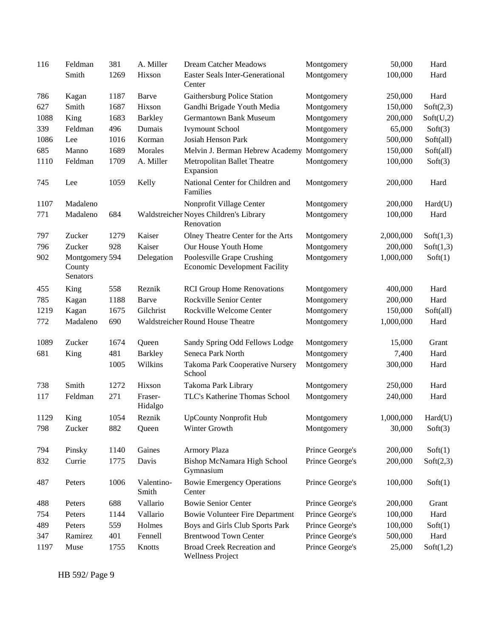| 116  | Feldman                              | 381  | A. Miller           | <b>Dream Catcher Meadows</b>                                       | Montgomery      | 50,000    | Hard      |
|------|--------------------------------------|------|---------------------|--------------------------------------------------------------------|-----------------|-----------|-----------|
|      | Smith                                | 1269 | Hixson              | Easter Seals Inter-Generational<br>Center                          | Montgomery      | 100,000   | Hard      |
| 786  | Kagan                                | 1187 | Barve               | Gaithersburg Police Station                                        | Montgomery      | 250,000   | Hard      |
| 627  | Smith                                | 1687 | Hixson              | Gandhi Brigade Youth Media                                         | Montgomery      | 150,000   | Soft(2,3) |
| 1088 | King                                 | 1683 | <b>Barkley</b>      | <b>Germantown Bank Museum</b>                                      | Montgomery      | 200,000   | Soft(U,2) |
| 339  | Feldman                              | 496  | Dumais              | <b>Ivymount School</b>                                             | Montgomery      | 65,000    | Soft(3)   |
| 1086 | Lee                                  | 1016 | Korman              | Josiah Henson Park                                                 | Montgomery      | 500,000   | Soft(all) |
| 685  | Manno                                | 1689 | Morales             | Melvin J. Berman Hebrew Academy Montgomery                         |                 | 150,000   | Soft(all) |
| 1110 | Feldman                              | 1709 | A. Miller           | Metropolitan Ballet Theatre<br>Expansion                           | Montgomery      | 100,000   | Soft(3)   |
| 745  | Lee                                  | 1059 | Kelly               | National Center for Children and<br>Families                       | Montgomery      | 200,000   | Hard      |
| 1107 | Madaleno                             |      |                     | Nonprofit Village Center                                           | Montgomery      | 200,000   | Hard(U)   |
| 771  | Madaleno                             | 684  |                     | Waldstreicher Noyes Children's Library<br>Renovation               | Montgomery      | 100,000   | Hard      |
| 797  | Zucker                               | 1279 | Kaiser              | Olney Theatre Center for the Arts                                  | Montgomery      | 2,000,000 | Soft(1,3) |
| 796  | Zucker                               | 928  | Kaiser              | Our House Youth Home                                               | Montgomery      | 200,000   | Soft(1,3) |
| 902  | Montgomery 594<br>County<br>Senators |      | Delegation          | Poolesville Grape Crushing<br><b>Economic Development Facility</b> | Montgomery      | 1,000,000 | Soft(1)   |
| 455  | King                                 | 558  | Reznik              | <b>RCI Group Home Renovations</b>                                  | Montgomery      | 400,000   | Hard      |
| 785  | Kagan                                | 1188 | Barve               | Rockville Senior Center                                            | Montgomery      | 200,000   | Hard      |
| 1219 | Kagan                                | 1675 | Gilchrist           | Rockville Welcome Center                                           | Montgomery      | 150,000   | Soft(all) |
| 772  | Madaleno                             | 690  |                     | Waldstreicher Round House Theatre                                  | Montgomery      | 1,000,000 | Hard      |
| 1089 | Zucker                               | 1674 | Queen               | Sandy Spring Odd Fellows Lodge                                     | Montgomery      | 15,000    | Grant     |
| 681  | King                                 | 481  | <b>Barkley</b>      | Seneca Park North                                                  | Montgomery      | 7,400     | Hard      |
|      |                                      | 1005 | Wilkins             | Takoma Park Cooperative Nursery<br>School                          | Montgomery      | 300,000   | Hard      |
| 738  | Smith                                | 1272 | Hixson              | Takoma Park Library                                                | Montgomery      | 250,000   | Hard      |
| 117  | Feldman                              | 271  | Fraser-<br>Hidalgo  | TLC's Katherine Thomas School                                      | Montgomery      | 240,000   | Hard      |
| 1129 | King                                 | 1054 | Reznik              | <b>UpCounty Nonprofit Hub</b>                                      | Montgomery      | 1,000,000 | Hard(U)   |
| 798  | Zucker                               | 882  | Queen               | Winter Growth                                                      | Montgomery      | 30,000    | Soft(3)   |
| 794  | Pinsky                               | 1140 | Gaines              | Armory Plaza                                                       | Prince George's | 200,000   | Soft(1)   |
| 832  | Currie                               | 1775 | Davis               | Bishop McNamara High School<br>Gymnasium                           | Prince George's | 200,000   | Soft(2,3) |
| 487  | Peters                               | 1006 | Valentino-<br>Smith | <b>Bowie Emergency Operations</b><br>Center                        | Prince George's | 100,000   | Soft(1)   |
| 488  | Peters                               | 688  | Vallario            | <b>Bowie Senior Center</b>                                         | Prince George's | 200,000   | Grant     |
| 754  | Peters                               | 1144 | Vallario            | <b>Bowie Volunteer Fire Department</b>                             | Prince George's | 100,000   | Hard      |
| 489  | Peters                               | 559  | Holmes              | Boys and Girls Club Sports Park                                    | Prince George's | 100,000   | Soft(1)   |
| 347  | Ramirez                              | 401  | Fennell             | <b>Brentwood Town Center</b>                                       | Prince George's | 500,000   | Hard      |
| 1197 | Muse                                 | 1755 | Knotts              | Broad Creek Recreation and<br><b>Wellness Project</b>              | Prince George's | 25,000    | Soft(1,2) |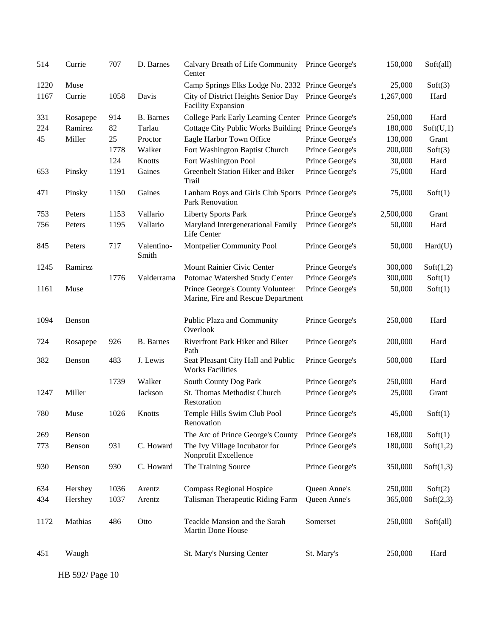| 514  | Currie   | 707  | D. Barnes           | Calvary Breath of Life Community<br>Center                             | Prince George's | 150,000   | Soft(all) |
|------|----------|------|---------------------|------------------------------------------------------------------------|-----------------|-----------|-----------|
| 1220 | Muse     |      |                     | Camp Springs Elks Lodge No. 2332 Prince George's                       |                 | 25,000    | Soft(3)   |
| 1167 | Currie   | 1058 | Davis               | City of District Heights Senior Day<br>Facility Expansion              | Prince George's | 1,267,000 | Hard      |
| 331  | Rosapepe | 914  | <b>B.</b> Barnes    | College Park Early Learning Center Prince George's                     |                 | 250,000   | Hard      |
| 224  | Ramirez  | 82   | Tarlau              | Cottage City Public Works Building Prince George's                     |                 | 180,000   | Soft(U,1) |
| 45   | Miller   | 25   | Proctor             | Eagle Harbor Town Office                                               | Prince George's | 130,000   | Grant     |
|      |          | 1778 | Walker              | Fort Washington Baptist Church                                         | Prince George's | 200,000   | Soft(3)   |
|      |          | 124  | Knotts              | Fort Washington Pool                                                   | Prince George's | 30,000    | Hard      |
| 653  | Pinsky   | 1191 | Gaines              | Greenbelt Station Hiker and Biker<br>Trail                             | Prince George's | 75,000    | Hard      |
| 471  | Pinsky   | 1150 | Gaines              | Lanham Boys and Girls Club Sports Prince George's<br>Park Renovation   |                 | 75,000    | Soft(1)   |
| 753  | Peters   | 1153 | Vallario            | <b>Liberty Sports Park</b>                                             | Prince George's | 2,500,000 | Grant     |
| 756  | Peters   | 1195 | Vallario            | Maryland Intergenerational Family<br>Life Center                       | Prince George's | 50,000    | Hard      |
| 845  | Peters   | 717  | Valentino-<br>Smith | Montpelier Community Pool                                              | Prince George's | 50,000    | Hard(U)   |
| 1245 | Ramirez  |      |                     | Mount Rainier Civic Center                                             | Prince George's | 300,000   | Soft(1,2) |
|      |          | 1776 | Valderrama          | Potomac Watershed Study Center                                         | Prince George's | 300,000   | Soft(1)   |
| 1161 | Muse     |      |                     | Prince George's County Volunteer<br>Marine, Fire and Rescue Department | Prince George's | 50,000    | Soft(1)   |
| 1094 | Benson   |      |                     | Public Plaza and Community<br>Overlook                                 | Prince George's | 250,000   | Hard      |
| 724  | Rosapepe | 926  | <b>B.</b> Barnes    | Riverfront Park Hiker and Biker<br>Path                                | Prince George's | 200,000   | Hard      |
| 382  | Benson   | 483  | J. Lewis            | Seat Pleasant City Hall and Public<br><b>Works Facilities</b>          | Prince George's | 500,000   | Hard      |
|      |          | 1739 | Walker              | South County Dog Park                                                  | Prince George's | 250,000   | Hard      |
| 1247 | Miller   |      | Jackson             | St. Thomas Methodist Church<br>Restoration                             | Prince George's | 25,000    | Grant     |
| 780  | Muse     | 1026 | Knotts              | Temple Hills Swim Club Pool<br>Renovation                              | Prince George's | 45,000    | Soft(1)   |
| 269  | Benson   |      |                     | The Arc of Prince George's County                                      | Prince George's | 168,000   | Soft(1)   |
| 773  | Benson   | 931  | C. Howard           | The Ivy Village Incubator for<br>Nonprofit Excellence                  | Prince George's | 180,000   | Soft(1,2) |
| 930  | Benson   | 930  | C. Howard           | The Training Source                                                    | Prince George's | 350,000   | Soft(1,3) |
| 634  | Hershey  | 1036 | Arentz              | <b>Compass Regional Hospice</b>                                        | Queen Anne's    | 250,000   | Soft(2)   |
| 434  | Hershey  | 1037 | Arentz              | Talisman Therapeutic Riding Farm                                       | Queen Anne's    | 365,000   | Soft(2,3) |
|      |          |      |                     |                                                                        |                 |           |           |
| 1172 | Mathias  | 486  | Otto                | Teackle Mansion and the Sarah<br>Martin Done House                     | Somerset        | 250,000   | Soft(all) |
| 451  | Waugh    |      |                     | St. Mary's Nursing Center                                              | St. Mary's      | 250,000   | Hard      |